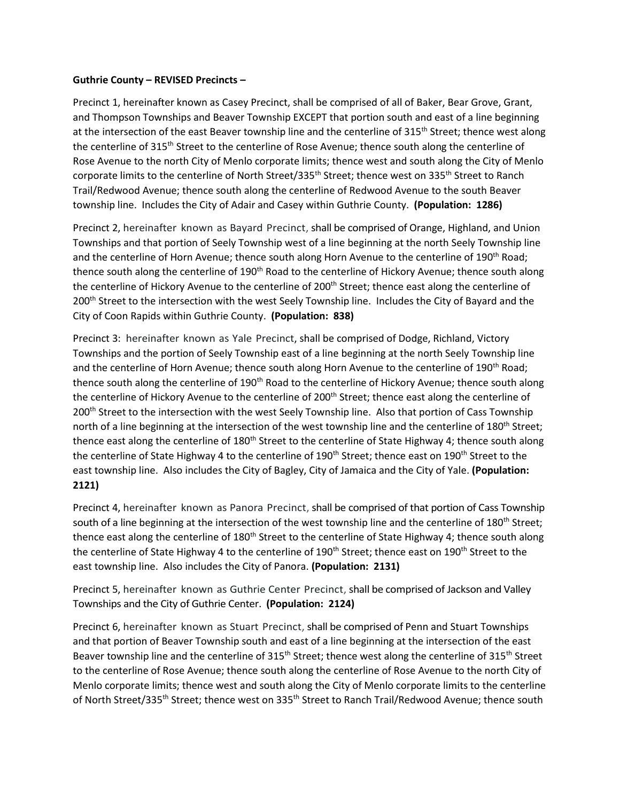## **Guthrie County – REVISED Precincts –**

Precinct 1, hereinafter known as Casey Precinct, shall be comprised of all of Baker, Bear Grove, Grant, and Thompson Townships and Beaver Township EXCEPT that portion south and east of a line beginning at the intersection of the east Beaver township line and the centerline of 315<sup>th</sup> Street; thence west along the centerline of 315<sup>th</sup> Street to the centerline of Rose Avenue; thence south along the centerline of Rose Avenue to the north City of Menlo corporate limits; thence west and south along the City of Menlo corporate limits to the centerline of North Street/335<sup>th</sup> Street; thence west on 335<sup>th</sup> Street to Ranch Trail/Redwood Avenue; thence south along the centerline of Redwood Avenue to the south Beaver township line. Includes the City of Adair and Casey within Guthrie County. **(Population: 1286)**

Precinct 2, hereinafter known as Bayard Precinct, shall be comprised of Orange, Highland, and Union Townships and that portion of Seely Township west of a line beginning at the north Seely Township line and the centerline of Horn Avenue; thence south along Horn Avenue to the centerline of 190<sup>th</sup> Road; thence south along the centerline of 190<sup>th</sup> Road to the centerline of Hickory Avenue; thence south along the centerline of Hickory Avenue to the centerline of 200<sup>th</sup> Street; thence east along the centerline of 200<sup>th</sup> Street to the intersection with the west Seely Township line. Includes the City of Bayard and the City of Coon Rapids within Guthrie County. **(Population: 838)**

Precinct 3: hereinafter known as Yale Precinct, shall be comprised of Dodge, Richland, Victory Townships and the portion of Seely Township east of a line beginning at the north Seely Township line and the centerline of Horn Avenue; thence south along Horn Avenue to the centerline of 190<sup>th</sup> Road; thence south along the centerline of 190<sup>th</sup> Road to the centerline of Hickory Avenue; thence south along the centerline of Hickory Avenue to the centerline of 200<sup>th</sup> Street; thence east along the centerline of 200<sup>th</sup> Street to the intersection with the west Seely Township line. Also that portion of Cass Township north of a line beginning at the intersection of the west township line and the centerline of 180<sup>th</sup> Street; thence east along the centerline of  $180<sup>th</sup>$  Street to the centerline of State Highway 4; thence south along the centerline of State Highway 4 to the centerline of 190<sup>th</sup> Street; thence east on 190<sup>th</sup> Street to the east township line. Also includes the City of Bagley, City of Jamaica and the City of Yale. **(Population: 2121)**

Precinct 4, hereinafter known as Panora Precinct, shall be comprised of that portion of Cass Township south of a line beginning at the intersection of the west township line and the centerline of 180<sup>th</sup> Street; thence east along the centerline of 180<sup>th</sup> Street to the centerline of State Highway 4; thence south along the centerline of State Highway 4 to the centerline of 190<sup>th</sup> Street; thence east on 190<sup>th</sup> Street to the east township line. Also includes the City of Panora. **(Population: 2131)**

Precinct 5, hereinafter known as Guthrie Center Precinct, shall be comprised of Jackson and Valley Townships and the City of Guthrie Center. **(Population: 2124)**

Precinct 6, hereinafter known as Stuart Precinct, shall be comprised of Penn and Stuart Townships and that portion of Beaver Township south and east of a line beginning at the intersection of the east Beaver township line and the centerline of 315<sup>th</sup> Street; thence west along the centerline of 315<sup>th</sup> Street to the centerline of Rose Avenue; thence south along the centerline of Rose Avenue to the north City of Menlo corporate limits; thence west and south along the City of Menlo corporate limits to the centerline of North Street/335<sup>th</sup> Street; thence west on 335<sup>th</sup> Street to Ranch Trail/Redwood Avenue; thence south